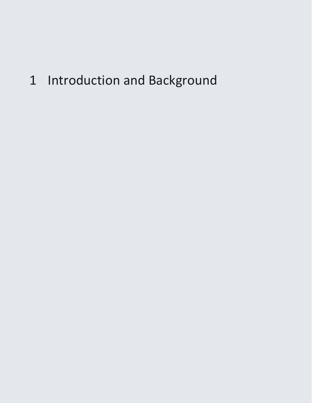# 1 Introduction and Background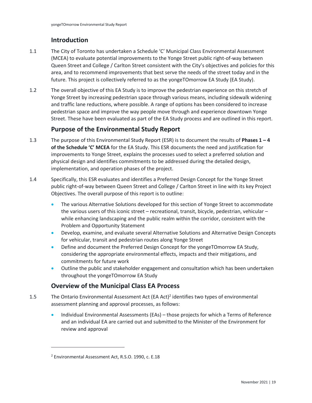# **Introduction**

- 1.1 The City of Toronto has undertaken a Schedule 'C' Municipal Class Environmental Assessment (MCEA) to evaluate potential improvements to the Yonge Street public right-of-way between Queen Street and College / Carlton Street consistent with the City's objectives and policies for this area, and to recommend improvements that best serve the needs of the street today and in the future. This project is collectively referred to as the yongeTOmorrow EA Study (EA Study).
- 1.2 The overall objective of this EA Study is to improve the pedestrian experience on this stretch of Yonge Street by increasing pedestrian space through various means, including sidewalk widening and traffic lane reductions, where possible. A range of options has been considered to increase pedestrian space and improve the way people move through and experience downtown Yonge Street. These have been evaluated as part of the EA Study process and are outlined in this report.

# **Purpose of the Environmental Study Report**

- improvements to Yonge Street, explains the processes used to select a preferred solution and 1.3 The purpose of this Environmental Study Report (ESR) is to document the results of **Phases 1 – 4 of the Schedule 'C' MCEA** for the EA Study. This ESR documents the need and justification for physical design and identifies commitments to be addressed during the detailed design, implementation, and operation phases of the project.
- 1.4 Specifically, this ESR evaluates and identifies a Preferred Design Concept for the Yonge Street public right-of-way between Queen Street and College / Carlton Street in line with its key Project Objectives. The overall purpose of this report is to outline:
	- The various Alternative Solutions developed for this section of Yonge Street to accommodate the various users of this iconic street – recreational, transit, bicycle, pedestrian, vehicular – while enhancing landscaping and the public realm within the corridor, consistent with the Problem and Opportunity Statement
	- Develop, examine, and evaluate several Alternative Solutions and Alternative Design Concepts for vehicular, transit and pedestrian routes along Yonge Street
	- Define and document the Preferred Design Concept for the yongeTOmorrow EA Study, considering the appropriate environmental effects, impacts and their mitigations, and commitments for future work
	- Outline the public and stakeholder engagement and consultation which has been undertaken throughout the yongeTOmorrow EA Study

# **Overview of the Municipal Class EA Process**

- 1.5 The Ontario Environmental Assessment Act (EA Act)<sup>2</sup> identifies two types of environmental assessment planning and approval processes, as follows:
	- and an individual EA are carried out and submitted to the Minister of the Environment for • Individual Environmental Assessments (EAs) – those projects for which a Terms of Reference review and approval

<sup>2</sup> Environmental Assessment Act, R.S.O. 1990, c. E.18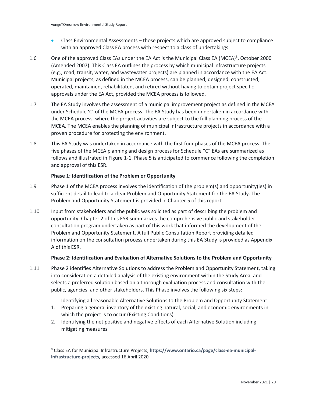- Class Environmental Assessments those projects which are approved subject to compliance with an approved Class EA process with respect to a class of undertakings
- 1.6 One of the approved Class EAs under the EA Act is the Municipal Class EA (MCEA)<sup>3</sup>, October 2000 (Amended 2007). This Class EA outlines the process by which municipal infrastructure projects (e.g., road, transit, water, and wastewater projects) are planned in accordance with the EA Act. Municipal projects, as defined in the MCEA process, can be planned, designed, constructed, operated, maintained, rehabilitated, and retired without having to obtain project specific approvals under the EA Act, provided the MCEA process is followed.
- 1.7 The EA Study involves the assessment of a municipal improvement project as defined in the MCEA under Schedule 'C' of the MCEA process. The EA Study has been undertaken in accordance with the MCEA process, where the project activities are subject to the full planning process of the MCEA. The MCEA enables the planning of municipal infrastructure projects in accordance with a proven procedure for protecting the environment.
- five phases of the MCEA planning and design process for Schedule "C" EAs are summarized as 1.8 This EA Study was undertaken in accordance with the first four phases of the MCEA process. The follows and illustrated in [Figure 1-1.](#page-5-0) Phase 5 is anticipated to commence following the completion and approval of this ESR.

#### **Phase 1: Identification of the Problem or Opportunity**

- 1.9 Phase 1 of the MCEA process involves the identification of the problem(s) and opportunity(ies) in sufficient detail to lead to a clear Problem and Opportunity Statement for the EA Study. The Problem and Opportunity Statement is provided in Chapter 5 of this report.
- opportunity. Chapter 2 of this ESR summarizes the comprehensive public and stakeholder 1.10 Input from stakeholders and the public was solicited as part of describing the problem and consultation program undertaken as part of this work that informed the development of the Problem and Opportunity Statement. A full Public Consultation Report providing detailed information on the consultation process undertaken during this EA Study is provided as Appendix A of this ESR.

#### **Phase 2: Identification and Evaluation of Alternative Solutions to the Problem and Opportunity**

1.11 Phase 2 identifies Alternative Solutions to address the Problem and Opportunity Statement, taking into consideration a detailed analysis of the existing environment within the Study Area, and selects a preferred solution based on a thorough evaluation process and consultation with the public, agencies, and other stakeholders. This Phase involves the following six steps:

Identifying all reasonable Alternative Solutions to the Problem and Opportunity Statement

- 1. Preparing a general inventory of the existing natural, social, and economic environments in which the project is to occur (Existing Conditions)
- 2. Identifying the net positive and negative effects of each Alternative Solution including mitigating measures

<sup>&</sup>lt;sup>3</sup> Class EA for Municipal Infrastructure Projects, [https://www.ontario.ca/page/class-ea-municipal](https://www.ontario.ca/page/class-ea-municipal-infrastructure-projects)**[infrastructure-projects,](https://www.ontario.ca/page/class-ea-municipal-infrastructure-projects)** accessed 16 April 2020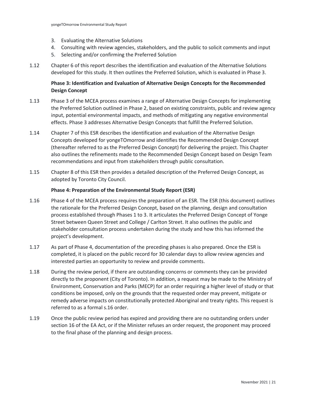- 3. Evaluating the Alternative Solutions
- 4. Consulting with review agencies, stakeholders, and the public to solicit comments and input
- 5. Selecting and/or confirming the Preferred Solution
- 1.12 Chapter 6 of this report describes the identification and evaluation of the Alternative Solutions developed for this study. It then outlines the Preferred Solution, which is evaluated in Phase 3.

## **Phase 3: Identification and Evaluation of Alternative Design Concepts for the Recommended Design Concept**

- 1.13 Phase 3 of the MCEA process examines a range of Alternative Design Concepts for implementing the Preferred Solution outlined in Phase 2, based on existing constraints, public and review agency input, potential environmental impacts, and methods of mitigating any negative environmental effects. Phase 3 addresses Alternative Design Concepts that fulfill the Preferred Solution.
- 1.14 Chapter 7 of this ESR describes the identification and evaluation of the Alternative Design Concepts developed for yongeTOmorrow and identifies the Recommended Design Concept (thereafter referred to as the Preferred Design Concept) for delivering the project. This Chapter also outlines the refinements made to the Recommended Design Concept based on Design Team recommendations and input from stakeholders through public consultation.
- 1.15 Chapter 8 of this ESR then provides a detailed description of the Preferred Design Concept, as adopted by Toronto City Council.

#### **Phase 4: Preparation of the Environmental Study Report (ESR)**

- 1.16 Phase 4 of the MCEA process requires the preparation of an ESR. The ESR (this document) outlines the rationale for the Preferred Design Concept, based on the planning, design and consultation process established through Phases 1 to 3. It articulates the Preferred Design Concept of Yonge Street between Queen Street and College / Carlton Street. It also outlines the public and stakeholder consultation process undertaken during the study and how this has informed the project's development.
- 1.17 As part of Phase 4, documentation of the preceding phases is also prepared. Once the ESR is completed, it is placed on the public record for 30 calendar days to allow review agencies and interested parties an opportunity to review and provide comments.
- 1.18 During the review period, if there are outstanding concerns or comments they can be provided directly to the proponent (City of Toronto). In addition, a request may be made to the Ministry of Environment, Conservation and Parks (MECP) for an order requiring a higher level of study or that conditions be imposed, only on the grounds that the requested order may prevent, mitigate or remedy adverse impacts on constitutionally protected Aboriginal and treaty rights. This request is referred to as a formal s.16 order.
- 1.19 Once the public review period has expired and providing there are no outstanding orders under section 16 of the EA Act, or if the Minister refuses an order request, the proponent may proceed to the final phase of the planning and design process.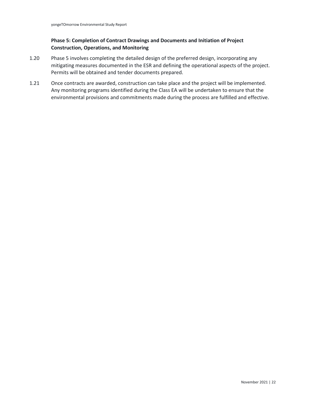## **Phase 5: Completion of Contract Drawings and Documents and Initiation of Project Construction, Operations, and Monitoring**

- 1.20 Phase 5 involves completing the detailed design of the preferred design, incorporating any mitigating measures documented in the ESR and defining the operational aspects of the project. Permits will be obtained and tender documents prepared.
- 1.21 Once contracts are awarded, construction can take place and the project will be implemented. Any monitoring programs identified during the Class EA will be undertaken to ensure that the environmental provisions and commitments made during the process are fulfilled and effective.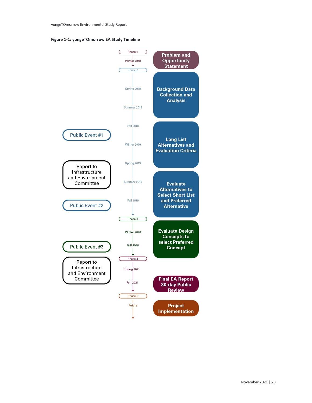<span id="page-5-0"></span>

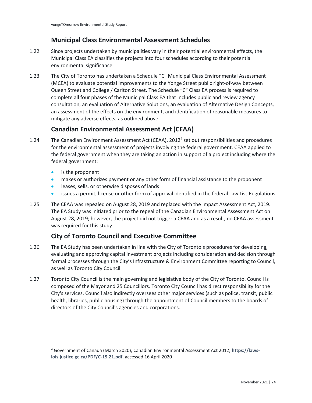# **Municipal Class Environmental Assessment Schedules**

- 1.22 Since projects undertaken by municipalities vary in their potential environmental effects, the Municipal Class EA classifies the projects into four schedules according to their potential environmental significance.
- 1.23 The City of Toronto has undertaken a Schedule "C" Municipal Class Environmental Assessment (MCEA) to evaluate potential improvements to the Yonge Street public right-of-way between Queen Street and College / Carlton Street. The Schedule "C" Class EA process is required to complete all four phases of the Municipal Class EA that includes public and review agency consultation, an evaluation of Alternative Solutions, an evaluation of Alternative Design Concepts, an assessment of the effects on the environment, and identification of reasonable measures to mitigate any adverse effects, as outlined above.

# **Canadian Environmental Assessment Act (CEAA)**

- 1.24 The Canadian Environment Assessment Act (CEAA), 20124 set out responsibilities and procedures for the environmental assessment of projects involving the federal government. CEAA applied to the federal government when they are taking an action in support of a project including where the federal government:
	- is the proponent
	- makes or authorizes payment or any other form of financial assistance to the proponent
	- leases, sells, or otherwise disposes of lands
	- issues a permit, license or other form of approval identified in the federal Law List Regulations
- 1.25 The CEAA was repealed on August 28, 2019 and replaced with the Impact Assessment Act, 2019. The EA Study was initiated prior to the repeal of the Canadian Environmental Assessment Act on August 28, 2019; however, the project did not trigger a CEAA and as a result, no CEAA assessment was required for this study.

# **City of Toronto Council and Executive Committee**

- 1.26 The EA Study has been undertaken in line with the City of Toronto's procedures for developing, evaluating and approving capital investment projects including consideration and decision through formal processes through the City's Infrastructure & Environment Committee reporting to Council, as well as Toronto City Council.
- 1.27 Toronto City Council is the main governing and legislative body of the City of Toronto. Council is composed of the Mayor and 25 Councillors. Toronto City Council has direct responsibility for the City's services. Council also indirectly oversees other major services (such as police, transit, public health, libraries, public housing) through the appointment of Council members to the boards of directors of the City Council's agencies and corporations.

<sup>4</sup> Government of Canada (March 2020), Canadian Environmental Assessment Act 2012; **[https://laws](https://laws-lois.justice.gc.ca/PDF/C-15.21.pdf)[lois.justice.gc.ca/PDF/C-15.21.pdf](https://laws-lois.justice.gc.ca/PDF/C-15.21.pdf)**, accessed 16 April 2020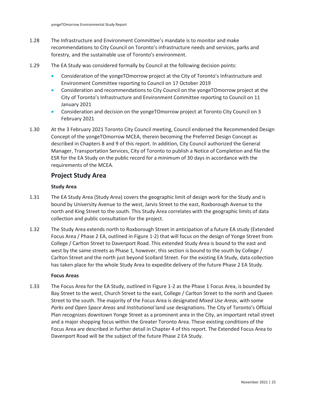- 1.28 The Infrastructure and Environment Committee's mandate is to monitor and make recommendations to City Council on Toronto's infrastructure needs and services, parks and forestry, and the sustainable use of Toronto's environment.
- 1.29 The EA Study was considered formally by Council at the following decision points:
	- Consideration of the yongeTOmorrow project at the City of Toronto's Infrastructure and Environment Committee reporting to Council on 17 October 2019
	- City of Toronto's Infrastructure and Environment Committee reporting to Council on 11 • Consideration and recommendations to City Council on the yongeTOmorrow project at the January 2021
	- • Consideration and decision on the yongeTOmorrow project at Toronto City Council on 3 February 2021
- 1.30 At the 3 February 2021 Toronto City Council meeting, Council endorsed the Recommended Design Manager, Transportation Services, City of Toronto to publish a Notice of Completion and file the yong Communisman Study Report<br>The Infrastructure and Environment Committee's mandate is to monitor and make<br>The Commendations to City Council on Toronto's infrastructure needs and services, parks at<br>Forestry, and the susta Concept of the yongeTOmorrow MCEA, therein becoming the Preferred Design Concept as described in Chapters 8 and 9 of this report. In addition, City Council authorized the General ESR for the EA Study on the public record for a minimum of 30 days in accordance with the requirements of the MCEA.

## **Project Study Area**

#### **Study Area**

- 1.31 The EA Study Area (Study Area) covers the geographic limit of design work for the Study and is bound by University Avenue to the west, Jarvis Street to the east, Roxborough Avenue to the north and King Street to the south. This Study Area correlates with the geographic limits of data collection and public consultation for the project.
- College / Carlton Street to Davenport Road. This extended Study Area is bound to the east and has taken place for the whole Study Area to expedite delivery of the future Phase 2 EA Study. 1.32 The Study Area extends north to Roxborough Street in anticipation of a future EA study (Extended Focus Area / Phase 2 EA, outlined in Figure 1-2) that will focus on the design of Yonge Street from west by the same streets as Phase 1, however, this section is bound to the south by College / Carlton Street and the north just beyond Scollard Street. For the existing EA Study, data collection

#### **Focus Areas**

 *Parks and Open Space Areas* and *Institutional* land use designations. The City of Toronto's Official 1.33 The Focus Area for the EA Study, outlined in Figure 1-2 as the Phase 1 Focus Area, is bounded by Bay Street to the west, Church Street to the east, College / Carlton Street to the north and Queen Street to the south. The majority of the Focus Area is designated *Mixed Use Areas*, with some Plan recognizes downtown Yonge Street as a prominent area in the City, an important retail street and a major shopping focus within the Greater Toronto Area. These existing conditions of the Focus Area are described in further detail in Chapter 4 of this report. The Extended Focus Area to Davenport Road will be the subject of the future Phase 2 EA Study.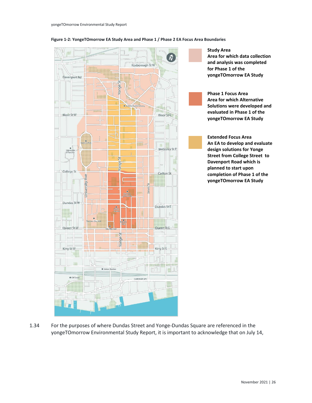

#### **Figure 1-2: YongeTOmorrow EA Study Area and Phase 1 / Phase 2 EA Focus Area Boundaries**

1.34 For the purposes of where Dundas Street and Yonge-Dundas Square are referenced in the yongeTOmorrow Environmental Study Report, it is important to acknowledge that on July 14,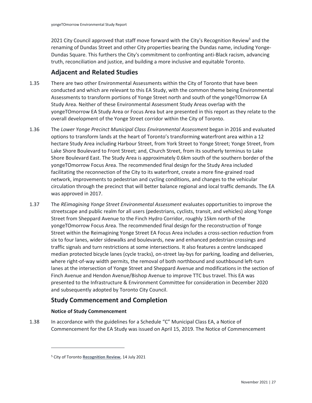2021 City Council approved that staff move forward with the City's Recognition Review<sup>5</sup> and the renaming of Dundas Street and other City properties bearing the Dundas name, including Yonge-Dundas Square. This furthers the City's commitment to confronting anti-Black racism, advancing truth, reconciliation and justice, and building a more inclusive and equitable Toronto.

# **Adjacent and Related Studies**

- overall development of the Yonge Street corridor within the City of Toronto. 1.35 There are two other Environmental Assessments within the City of Toronto that have been conducted and which are relevant to this EA Study, with the common theme being Environmental Assessments to transform portions of Yonge Street north and south of the yongeTOmorrow EA Study Area. Neither of these Environmental Assessment Study Areas overlap with the yongeTOmorrow EA Study Area or Focus Area but are presented in this report as they relate to the
- 1.36 The *Lower Yonge Precinct Municipal Class Environmental Assessment* began in 2016 and evaluated options to transform lands at the heart of Toronto's transforming waterfront area within a 12 hectare Study Area including Harbour Street, from York Street to Yonge Street; Yonge Street, from Lake Shore Boulevard to Front Street; and, Church Street, from its southerly terminus to Lake Shore Boulevard East. The Study Area is approximately 0.6km south of the southern border of the yongeTOmorrow Focus Area. The recommended final design for the Study Area included facilitating the reconnection of the City to its waterfront, create a more fine-grained road network, improvements to pedestrian and cycling conditions, and changes to the vehicular circulation through the precinct that will better balance regional and local traffic demands. The EA was approved in 2017.
- 1.37 The *REimagining Yonge Street Environmental Assessment* evaluates opportunities to improve the streetscape and public realm for all users (pedestrians, cyclists, transit, and vehicles) along Yonge Street from Sheppard Avenue to the Finch Hydro Corridor, roughly 15km north of the yongeTOmorrow Focus Area. The recommended final design for the reconstruction of Yonge Street within the Reimagining Yonge Street EA Focus Area includes a cross-section reduction from six to four lanes, wider sidewalks and boulevards, new and enhanced pedestrian crossings and traffic signals and turn restrictions at some intersections. It also features a centre landscaped median protected bicycle lanes (cycle tracks), on-street lay-bys for parking, loading and deliveries, where right-of-way width permits, the removal of both northbound and southbound left-turn lanes at the intersection of Yonge Street and Sheppard Avenue and modifications in the section of Finch Avenue and Hendon Avenue/Bishop Avenue to improve TTC bus travel. This EA was presented to the Infrastructure & Environment Committee for consideration in December 2020 and subsequently adopted by Toronto City Council.

# **Study Commencement and Completion**

#### **Notice of Study Commencement**

 Commencement for the EA Study was issued on April 15, 2019. The Notice of Commencement 1.38 In accordance with the guidelines for a Schedule "C" Municipal Class EA, a Notice of

<sup>5</sup> City of Toronto **[Recognition Review](https://www.toronto.ca/community-people/get-involved/community/recognition-review/)**, 14 July 2021